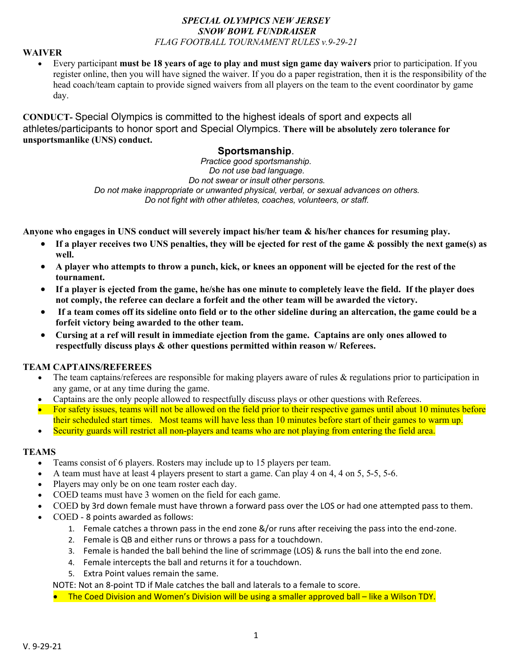#### *SPECIAL OLYMPICS NEW JERSEY SNOW BOWL FUNDRAISER FLAG FOOTBALL TOURNAMENT RULES v.9-29-21*

#### **WAIVER**

• Every participant **must be 18 years of age to play and must sign game day waivers** prior to participation. If you register online, then you will have signed the waiver. If you do a paper registration, then it is the responsibility of the head coach/team captain to provide signed waivers from all players on the team to the event coordinator by game day.

**CONDUCT-** Special Olympics is committed to the highest ideals of sport and expects all athletes/participants to honor sport and Special Olympics. **There will be absolutely zero tolerance for unsportsmanlike (UNS) conduct.**

# **Sportsmanship**.

*Practice good sportsmanship. Do not use bad language. Do not swear or insult other persons. Do not make inappropriate or unwanted physical, verbal, or sexual advances on others. Do not fight with other athletes, coaches, volunteers, or staff.*

**Anyone who engages in UNS conduct will severely impact his/her team & his/her chances for resuming play.**

- **If a player receives two UNS penalties, they will be ejected for rest of the game & possibly the next game(s) as well.**
- **A player who attempts to throw a punch, kick, or knees an opponent will be ejected for the rest of the tournament.**
- **If a player is ejected from the game, he/she has one minute to completely leave the field. If the player does not comply, the referee can declare a forfeit and the other team will be awarded the victory.**
- **If a team comes off its sideline onto field or to the other sideline during an altercation, the game could be a forfeit victory being awarded to the other team.**
- **Cursing at a ref will result in immediate ejection from the game. Captains are only ones allowed to respectfully discuss plays & other questions permitted within reason w/ Referees.**

#### **TEAM CAPTAINS/REFEREES**

- The team captains/referees are responsible for making players aware of rules & regulations prior to participation in any game, or at any time during the game.
- Captains are the only people allowed to respectfully discuss plays or other questions with Referees.
- For safety issues, teams will not be allowed on the field prior to their respective games until about 10 minutes before their scheduled start times. Most teams will have less than 10 minutes before start of their games to warm up.
- Security guards will restrict all non-players and teams who are not playing from entering the field area.

### **TEAMS**

- Teams consist of 6 players. Rosters may include up to 15 players per team.
- A team must have at least 4 players present to start a game. Can play 4 on 4, 4 on 5, 5-5, 5-6.
- Players may only be on one team roster each day.
- COED teams must have 3 women on the field for each game.
- COED by 3rd down female must have thrown a forward pass over the LOS or had one attempted pass to them.
- COED 8 points awarded as follows:
	- 1. Female catches a thrown pass in the end zone &/or runs after receiving the pass into the end-zone.
	- 2. Female is QB and either runs or throws a pass for a touchdown.
	- 3. Female is handed the ball behind the line of scrimmage (LOS) & runs the ball into the end zone.
	- 4. Female intercepts the ball and returns it for a touchdown.
	- 5. Extra Point values remain the same.

NOTE: Not an 8-point TD if Male catches the ball and laterals to a female to score.

• The Coed Division and Women's Division will be using a smaller approved ball – like a Wilson TDY.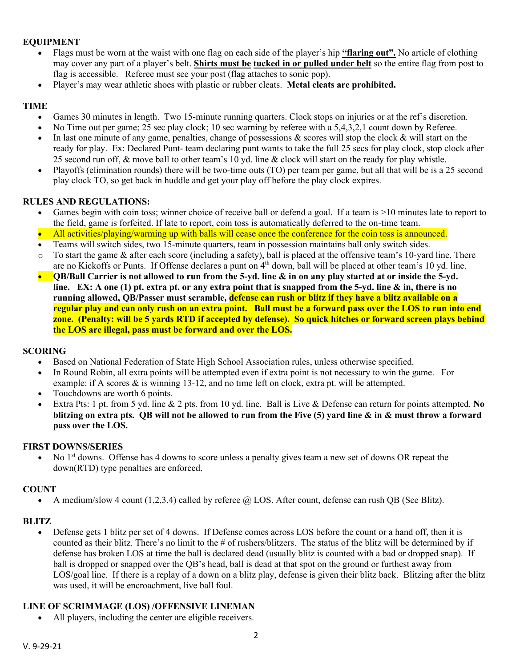## **EQUIPMENT**

- Flags must be worn at the waist with one flag on each side of the player's hip **"flaring out".** No article of clothing may cover any part of a player's belt. **Shirts must be tucked in or pulled under belt** so the entire flag from post to flag is accessible. Referee must see your post (flag attaches to sonic pop).
- Player's may wear athletic shoes with plastic or rubber cleats. **Metal cleats are prohibited.**

## **TIME**

- Games 30 minutes in length. Two 15-minute running quarters. Clock stops on injuries or at the ref's discretion.
- No Time out per game; 25 sec play clock; 10 sec warning by referee with a 5,4,3,2,1 count down by Referee.
- In last one minute of any game, penalties, change of possessions & scores will stop the clock  $\&$  will start on the ready for play. Ex: Declared Punt- team declaring punt wants to take the full 25 secs for play clock, stop clock after 25 second run off, & move ball to other team's 10 yd. line & clock will start on the ready for play whistle.
- Playoffs (elimination rounds) there will be two-time outs (TO) per team per game, but all that will be is a 25 second play clock TO, so get back in huddle and get your play off before the play clock expires.

### **RULES AND REGULATIONS:**

- Games begin with coin toss; winner choice of receive ball or defend a goal. If a team is >10 minutes late to report to the field, game is forfeited. If late to report, coin toss is automatically deferred to the on-time team.
- All activities/playing/warming up with balls will cease once the conference for the coin toss is announced.
- Teams will switch sides, two 15-minute quarters, team in possession maintains ball only switch sides.
- $\circ$  To start the game & after each score (including a safety), ball is placed at the offensive team's 10-yard line. There are no Kickoffs or Punts. If Offense declares a punt on  $4<sup>th</sup>$  down, ball will be placed at other team's 10 yd. line.
- **QB/Ball Carrier is not allowed to run from the 5-yd. line & in on any play started at or inside the 5-yd. line. EX: A one (1) pt. extra pt. or any extra point that is snapped from the 5-yd. line & in, there is no running allowed, QB/Passer must scramble, defense can rush or blitz if they have a blitz available on a regular play and can only rush on an extra point. Ball must be a forward pass over the LOS to run into end zone. (Penalty: will be 5 yards RTD if accepted by defense). So quick hitches or forward screen plays behind the LOS are illegal, pass must be forward and over the LOS.**

### **SCORING**

- Based on National Federation of State High School Association rules, unless otherwise specified.
- In Round Robin, all extra points will be attempted even if extra point is not necessary to win the game. For example: if A scores & is winning 13-12, and no time left on clock, extra pt. will be attempted.
- Touchdowns are worth 6 points.
- Extra Pts: 1 pt. from 5 yd. line & 2 pts. from 10 yd. line. Ball is Live & Defense can return for points attempted. **No blitzing on extra pts. QB will not be allowed to run from the Five (5) yard line & in & must throw a forward pass over the LOS.**

### **FIRST DOWNS/SERIES**

• No  $1<sup>st</sup>$  downs. Offense has 4 downs to score unless a penalty gives team a new set of downs OR repeat the down(RTD) type penalties are enforced.

#### **COUNT**

• A medium/slow 4 count (1,2,3,4) called by referee  $\hat{\omega}$  LOS. After count, defense can rush QB (See Blitz).

### **BLITZ**

• Defense gets 1 blitz per set of 4 downs. If Defense comes across LOS before the count or a hand off, then it is counted as their blitz. There's no limit to the # of rushers/blitzers. The status of the blitz will be determined by if defense has broken LOS at time the ball is declared dead (usually blitz is counted with a bad or dropped snap). If ball is dropped or snapped over the QB's head, ball is dead at that spot on the ground or furthest away from LOS/goal line. If there is a replay of a down on a blitz play, defense is given their blitz back. Blitzing after the blitz was used, it will be encroachment, live ball foul.

#### **LINE OF SCRIMMAGE (LOS) /OFFENSIVE LINEMAN**

• All players, including the center are eligible receivers.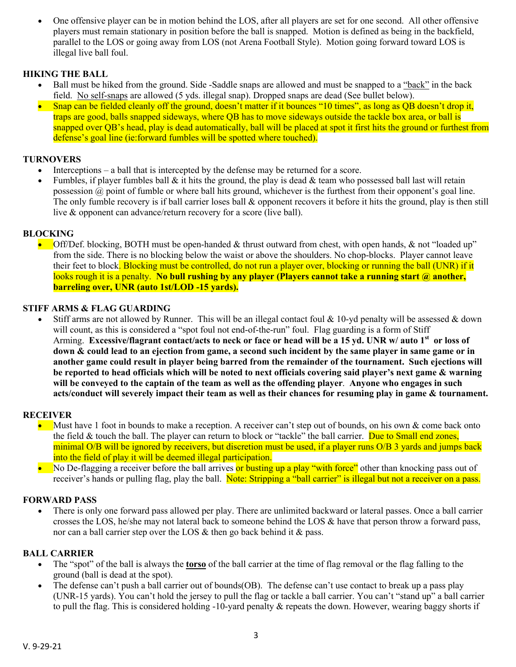• One offensive player can be in motion behind the LOS, after all players are set for one second. All other offensive players must remain stationary in position before the ball is snapped. Motion is defined as being in the backfield, parallel to the LOS or going away from LOS (not Arena Football Style). Motion going forward toward LOS is illegal live ball foul.

## **HIKING THE BALL**

- Ball must be hiked from the ground. Side -Saddle snaps are allowed and must be snapped to a "back" in the back field. No self-snaps are allowed (5 yds. illegal snap). Dropped snaps are dead (See bullet below).
- Snap can be fielded cleanly off the ground, doesn't matter if it bounces "10 times", as long as QB doesn't drop it, traps are good, balls snapped sideways, where QB has to move sideways outside the tackle box area, or ball is snapped over QB's head, play is dead automatically, ball will be placed at spot it first hits the ground or furthest from defense's goal line (ie:forward fumbles will be spotted where touched).

## **TURNOVERS**

- Interceptions a ball that is intercepted by the defense may be returned for a score.
- Fumbles, if player fumbles ball  $\&$  it hits the ground, the play is dead  $\&$  team who possessed ball last will retain possession  $\omega$  point of fumble or where ball hits ground, whichever is the furthest from their opponent's goal line. The only fumble recovery is if ball carrier loses ball & opponent recovers it before it hits the ground, play is then still live & opponent can advance/return recovery for a score (live ball).

#### **BLOCKING**

• Off/Def. blocking, BOTH must be open-handed & thrust outward from chest, with open hands, & not "loaded up" from the side. There is no blocking below the waist or above the shoulders. No chop-blocks. Player cannot leave their feet to block. Blocking must be controlled, do not run a player over, blocking or running the ball (UNR) if it looks rough it is a penalty. **No bull rushing by any player (Players cannot take a running start @ another, barreling over, UNR (auto 1st/LOD -15 yards).**

#### **STIFF ARMS & FLAG GUARDING**

Stiff arms are not allowed by Runner. This will be an illegal contact foul  $\&$  10-yd penalty will be assessed  $\&$  down will count, as this is considered a "spot foul not end-of-the-run" foul. Flag guarding is a form of Stiff Arming. **Excessive/flagrant contact/acts to neck or face or head will be a 15 yd. UNR w/ auto 1st or loss of down & could lead to an ejection from game, a second such incident by the same player in same game or in another game could result in player being barred from the remainder of the tournament. Such ejections will be reported to head officials which will be noted to next officials covering said player's next game & warning will be conveyed to the captain of the team as well as the offending player**. **Anyone who engages in such acts/conduct will severely impact their team as well as their chances for resuming play in game & tournament.**

#### **RECEIVER**

- Must have 1 foot in bounds to make a reception. A receiver can't step out of bounds, on his own  $\&$  come back onto the field & touch the ball. The player can return to block or "tackle" the ball carrier. Due to Small end zones, minimal O/B will be ignored by receivers, but discretion must be used, if a player runs O/B 3 yards and jumps back into the field of play it will be deemed illegal participation.
- No De-flagging a receiver before the ball arrives or busting up a play "with force" other than knocking pass out of receiver's hands or pulling flag, play the ball. Note: Stripping a "ball carrier" is illegal but not a receiver on a pass.

#### **FORWARD PASS**

• There is only one forward pass allowed per play. There are unlimited backward or lateral passes. Once a ball carrier crosses the LOS, he/she may not lateral back to someone behind the LOS & have that person throw a forward pass, nor can a ball carrier step over the LOS & then go back behind it & pass.

#### **BALL CARRIER**

- The "spot" of the ball is always the **torso** of the ball carrier at the time of flag removal or the flag falling to the ground (ball is dead at the spot).
- The defense can't push a ball carrier out of bounds(OB). The defense can't use contact to break up a pass play (UNR-15 yards). You can't hold the jersey to pull the flag or tackle a ball carrier. You can't "stand up" a ball carrier to pull the flag. This is considered holding -10-yard penalty & repeats the down. However, wearing baggy shorts if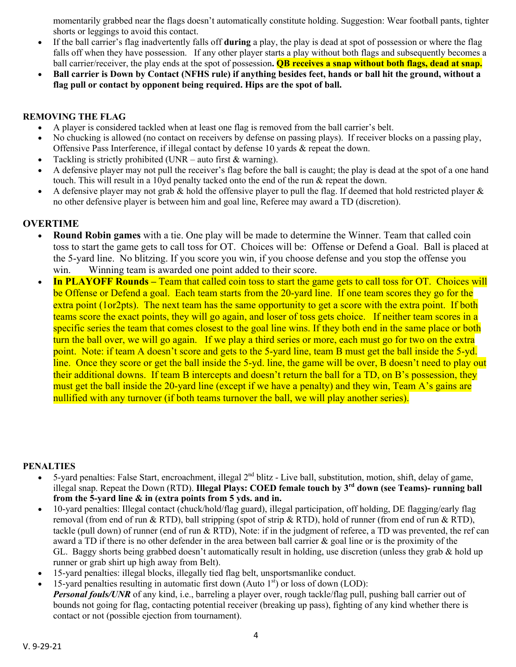momentarily grabbed near the flags doesn't automatically constitute holding. Suggestion: Wear football pants, tighter shorts or leggings to avoid this contact.

- If the ball carrier's flag inadvertently falls off **during** a play, the play is dead at spot of possession or where the flag falls off when they have possession. If any other player starts a play without both flags and subsequently becomes a ball carrier/receiver, the play ends at the spot of possession**. QB receives a snap without both flags, dead at snap.**
- **Ball carrier is Down by Contact (NFHS rule) if anything besides feet, hands or ball hit the ground, without a flag pull or contact by opponent being required. Hips are the spot of ball.**

## **REMOVING THE FLAG**

- A player is considered tackled when at least one flag is removed from the ball carrier's belt.
- No chucking is allowed (no contact on receivers by defense on passing plays). If receiver blocks on a passing play, Offensive Pass Interference, if illegal contact by defense 10 yards & repeat the down.
- Tackling is strictly prohibited (UNR auto first  $&$  warning).
- A defensive player may not pull the receiver's flag before the ball is caught; the play is dead at the spot of a one hand touch. This will result in a 10yd penalty tacked onto the end of the run & repeat the down.
- A defensive player may not grab & hold the offensive player to pull the flag. If deemed that hold restricted player  $\&$ no other defensive player is between him and goal line, Referee may award a TD (discretion).

# **OVERTIME**

- **Round Robin games** with a tie. One play will be made to determine the Winner. Team that called coin toss to start the game gets to call toss for OT. Choices will be: Offense or Defend a Goal. Ball is placed at the 5-yard line. No blitzing. If you score you win, if you choose defense and you stop the offense you win. Winning team is awarded one point added to their score.
- **In PLAYOFF Rounds** Team that called coin toss to start the game gets to call toss for OT. Choices will be Offense or Defend a goal. Each team starts from the 20-yard line. If one team scores they go for the extra point (1or2pts). The next team has the same opportunity to get a score with the extra point. If both teams score the exact points, they will go again, and loser of toss gets choice. If neither team scores in a specific series the team that comes closest to the goal line wins. If they both end in the same place or both turn the ball over, we will go again. If we play a third series or more, each must go for two on the extra point. Note: if team A doesn't score and gets to the 5-yard line, team B must get the ball inside the 5-yd. line. Once they score or get the ball inside the 5-yd. line, the game will be over, B doesn't need to play out their additional downs. If team B intercepts and doesn't return the ball for a TD, on B's possession, they must get the ball inside the 20-yard line (except if we have a penalty) and they win, Team A's gains are nullified with any turnover (if both teams turnover the ball, we will play another series).

### **PENALTIES**

- 5-yard penalties: False Start, encroachment, illegal  $2<sup>nd</sup>$  blitz Live ball, substitution, motion, shift, delay of game, illegal snap. Repeat the Down (RTD). **Illegal Plays: COED female touch by 3rd down (see Teams)- running ball from the 5-yard line & in (extra points from 5 yds. and in.**
- 10-yard penalties: Illegal contact (chuck/hold/flag guard), illegal participation, off holding, DE flagging/early flag removal (from end of run & RTD), ball stripping (spot of strip & RTD), hold of runner (from end of run & RTD), tackle (pull down) of runner (end of run & RTD), Note: if in the judgment of referee, a TD was prevented, the ref can award a TD if there is no other defender in the area between ball carrier & goal line or is the proximity of the GL. Baggy shorts being grabbed doesn't automatically result in holding, use discretion (unless they grab  $\&$  hold up runner or grab shirt up high away from Belt).
- 15-yard penalties: illegal blocks, illegally tied flag belt, unsportsmanlike conduct.
- 15-yard penalties resulting in automatic first down (Auto  $1<sup>st</sup>$ ) or loss of down (LOD): *Personal fouls/UNR* of any kind, i.e., barreling a player over, rough tackle/flag pull, pushing ball carrier out of bounds not going for flag, contacting potential receiver (breaking up pass), fighting of any kind whether there is contact or not (possible ejection from tournament).